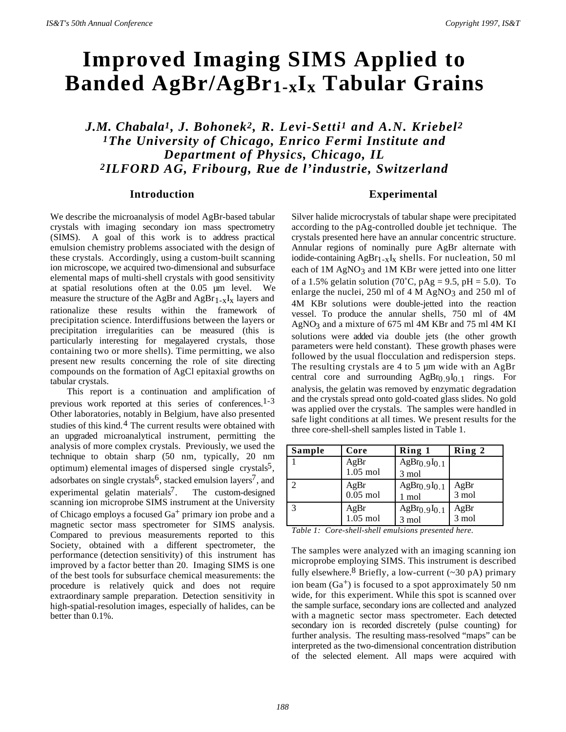# **Improved Imaging SIMS Applied to Banded AgBr/AgBr1-xIx Tabular Grains**

*J.M. Chabala1, J. Bohonek2, R. Levi-Setti1 and A.N. Kriebel2 1The University of Chicago, Enrico Fermi Institute and Department of Physics, Chicago, IL 2ILFORD AG, Fribourg, Rue de l'industrie, Switzerland*

#### **Introduction**

We describe the microanalysis of model AgBr-based tabular crystals with imaging secondary ion mass spectrometry (SIMS). A goal of this work is to address practical emulsion chemistry problems associated with the design of these crystals. Accordingly, using a custom-built scanning ion microscope, we acquired two-dimensional and subsurface elemental maps of multi-shell crystals with good sensitivity at spatial resolutions often at the 0.05 µm level. We measure the structure of the AgBr and  $\text{AgBr}_{1-x}\text{I}_x$  layers and rationalize these results within the framework of precipitation science. Interdiffusions between the layers or precipitation irregularities can be measured (this is particularly interesting for megalayered crystals, those containing two or more shells). Time permitting, we also present new results concerning the role of site directing compounds on the formation of AgCl epitaxial growths on tabular crystals.

This report is a continuation and amplification of previous work reported at this series of conferences.<sup>1-3</sup> Other laboratories, notably in Belgium, have also presented studies of this kind. $4$  The current results were obtained with an upgraded microanalytical instrument, permitting the analysis of more complex crystals. Previously, we used the technique to obtain sharp (50 nm, typically, 20 nm optimum) elemental images of dispersed single crystals<sup>5</sup>, adsorbates on single crystals<sup>6</sup>, stacked emulsion layers<sup>7</sup>, and experimental gelatin materials<sup>7</sup>. The custom-designed scanning ion microprobe SIMS instrument at the University of Chicago employs a focused  $Ga<sup>+</sup>$  primary ion probe and a magnetic sector mass spectrometer for SIMS analysis. Compared to previous measurements reported to this Society, obtained with a different spectrometer, the performance (detection sensitivity) of this instrument has improved by a factor better than 20. Imaging SIMS is one of the best tools for subsurface chemical measurements: the procedure is relatively quick and does not require extraordinary sample preparation. Detection sensitivity in high-spatial-resolution images, especially of halides, can be better than 0.1%.

### **Experimental**

Silver halide microcrystals of tabular shape were precipitated according to the pAg-controlled double jet technique. The crystals presented here have an annular concentric structure. Annular regions of nominally pure AgBr alternate with iodide-containing  $AgBr_{1-x}I_x$  shells. For nucleation, 50 ml each of 1M AgNO<sub>3</sub> and 1M KBr were jetted into one litter of a 1.5% gelatin solution (70°C, pAg = 9.5, pH = 5.0). To enlarge the nuclei, 250 ml of 4 M AgNO<sub>3</sub> and 250 ml of 4M KBr solutions were double-jetted into the reaction vessel. To produce the annular shells, 750 ml of 4M AgNO3 and a mixture of 675 ml 4M KBr and 75 ml 4M KI solutions were added via double jets (the other growth parameters were held constant). These growth phases were followed by the usual flocculation and redispersion steps. The resulting crystals are 4 to 5 µm wide with an AgBr central core and surrounding  $AgBr_{0.9}I_{0.1}$  rings. For analysis, the gelatin was removed by enzymatic degradation and the crystals spread onto gold-coated glass slides. No gold was applied over the crystals. The samples were handled in safe light conditions at all times. We present results for the three core-shell-shell samples listed in Table 1.

| Sample        | Core             | Ring 1                               | Ring 2          |
|---------------|------------------|--------------------------------------|-----------------|
|               | AgBr             | $AgBr_{0.9}I_{0.1}$                  |                 |
|               | $1.05$ mol       | 3 mol                                |                 |
| $\mathcal{D}$ | AgBr<br>0.05 mol | AgBr <sub>0.9</sub> I <sub>0.1</sub> | AgBr<br>3 mol   |
|               |                  | 1 mol                                |                 |
| $\mathcal{R}$ | AgBr             | AgBr <sub>0.9</sub> I <sub>0.1</sub> | AgBr            |
|               | $1.05$ mol       | 3 mol                                | $3 \text{ mol}$ |

|  | Table 1: Core-shell-shell emulsions presented here. |  |  |  |
|--|-----------------------------------------------------|--|--|--|
|--|-----------------------------------------------------|--|--|--|

The samples were analyzed with an imaging scanning ion microprobe employing SIMS. This instrument is described fully elsewhere.<sup>8</sup> Briefly, a low-current  $(\sim 30 \text{ pA})$  primary ion beam  $(Ga<sup>+</sup>)$  is focused to a spot approximately 50 nm wide, for this experiment. While this spot is scanned over the sample surface, secondary ions are collected and analyzed with a magnetic sector mass spectrometer. Each detected secondary ion is recorded discretely (pulse counting) for further analysis. The resulting mass-resolved "maps" can be interpreted as the two-dimensional concentration distribution of the selected element. All maps were acquired with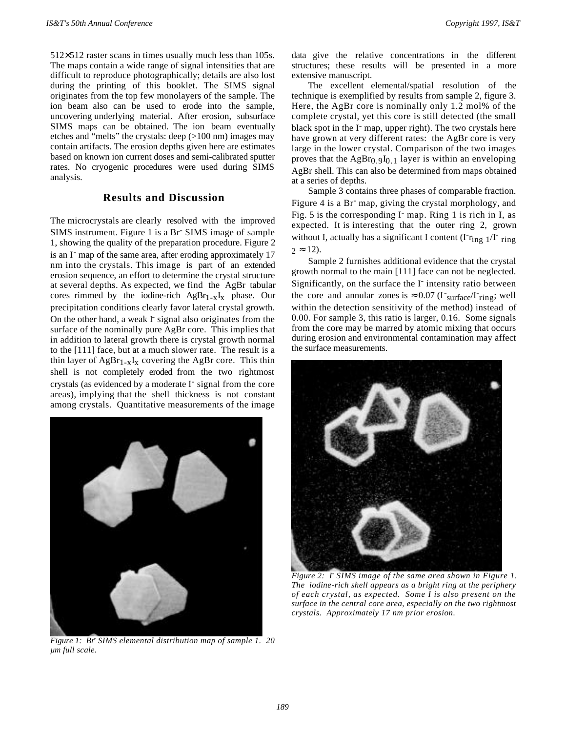512×512 raster scans in times usually much less than 105s. The maps contain a wide range of signal intensities that are difficult to reproduce photographically; details are also lost during the printing of this booklet. The SIMS signal originates from the top few monolayers of the sample. The ion beam also can be used to erode into the sample, uncovering underlying material. After erosion, subsurface SIMS maps can be obtained. The ion beam eventually etches and "melts" the crystals: deep (>100 nm) images may contain artifacts. The erosion depths given here are estimates based on known ion current doses and semi-calibrated sputter rates. No cryogenic procedures were used during SIMS analysis.

## **Results and Discussion**

The microcrystals are clearly resolved with the improved SIMS instrument. Figure 1 is a Br<sup>-</sup> SIMS image of sample 1, showing the quality of the preparation procedure. Figure 2 is an I<sup>-</sup> map of the same area, after eroding approximately 17 nm into the crystals. This image is part of an extended erosion sequence, an effort to determine the crystal structure at several depths. As expected, we find the AgBr tabular cores rimmed by the iodine-rich  $AgBr_{1-x}I_x$  phase. Our precipitation conditions clearly favor lateral crystal growth. On the other hand, a weak I<sup>-</sup> signal also originates from the surface of the nominally pure AgBr core. This implies that in addition to lateral growth there is crystal growth normal to the [111] face, but at a much slower rate. The result is a thin layer of  $AgBr_{1-x}I_x$  covering the AgBr core. This thin shell is not completely eroded from the two rightmost crystals (as evidenced by a moderate I<sup>-</sup> signal from the core areas), implying that the shell thickness is not constant among crystals. Quantitative measurements of the image



*Figure 1: Br- SIMS elemental distribution map of sample 1. 20 µm full scale.*

data give the relative concentrations in the different structures; these results will be presented in a more extensive manuscript.

The excellent elemental/spatial resolution of the technique is exemplified by results from sample 2, figure 3. Here, the AgBr core is nominally only 1.2 mol% of the complete crystal, yet this core is still detected (the small black spot in the I<sup>-</sup> map, upper right). The two crystals here have grown at very different rates: the AgBr core is very large in the lower crystal. Comparison of the two images proves that the  $AgBr<sub>0.9</sub>I<sub>0.1</sub>$  layer is within an enveloping AgBr shell. This can also be determined from maps obtained at a series of depths.

Sample 3 contains three phases of comparable fraction. Figure 4 is a Br<sup>-</sup> map, giving the crystal morphology, and Fig. 5 is the corresponding I<sup>-</sup> map. Ring 1 is rich in I, as expected. It is interesting that the outer ring 2, grown without I, actually has a significant I content  $(\text{Tr}_{\text{ing } 1}/\text{Tr}_{\text{ring}})$  $2 \approx 12$ ).

Sample 2 furnishes additional evidence that the crystal growth normal to the main [111] face can not be neglected. Significantly, on the surface the I<sup>-</sup> intensity ratio between the core and annular zones is  $\approx 0.07$  ( $I<sup>-</sup> \text{surface}/I<sup>-</sup> \text{ring}$ ; well within the detection sensitivity of the method) instead of 0.00. For sample 3, this ratio is larger, 0.16. Some signals from the core may be marred by atomic mixing that occurs during erosion and environmental contamination may affect the surface measurements.



*Figure 2: I- SIMS image of the same area shown in Figure 1. The iodine-rich shell appears as a bright ring at the periphery of each crystal, as expected. Some I is also present on the surface in the central core area, especially on the two rightmost crystals. Approximately 17 nm prior erosion.*